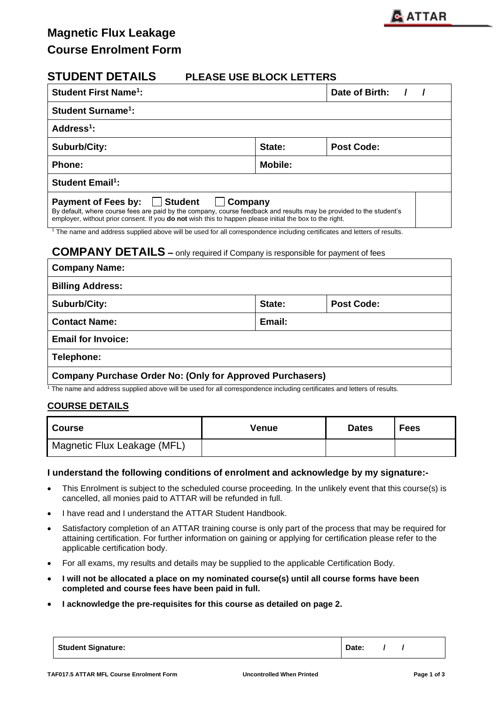

# **STUDENT DETAILS PLEASE USE BLOCK LETTERS Student First Name<sup>1</sup>** Date of Birth: / / **Student Surname<sup>1</sup> : Address<sup>1</sup> : Suburb/City: State: Post Code:**  Phone: **Mobile: Mobile: Mobile: Mobile: Mobile: Student Email<sup>1</sup> : Payment of Fees by: Get Student Company** By default, where course fees are paid by the company, course feedback and results may be provided to the student's employer, without prior consent. If you **do not** wish this to happen please initial the box to the right. <sup>1</sup> The name and address supplied above will be used for all correspondence including certificates and letters of results.

## **COMPANY DETAILS –** only required if Company is responsible for payment of fees

| <b>Company Name:</b>                                             |        |                   |  |
|------------------------------------------------------------------|--------|-------------------|--|
| <b>Billing Address:</b>                                          |        |                   |  |
| Suburb/City:                                                     | State: | <b>Post Code:</b> |  |
| <b>Contact Name:</b>                                             | Email: |                   |  |
| <b>Email for Invoice:</b>                                        |        |                   |  |
| Telephone:                                                       |        |                   |  |
| <b>Company Purchase Order No: (Only for Approved Purchasers)</b> |        |                   |  |

<sup>1</sup> The name and address supplied above will be used for all correspondence including certificates and letters of results.

### **COURSE DETAILS**

| <b>Course</b>               | Venue | <b>Dates</b> | <b>Fees</b> |
|-----------------------------|-------|--------------|-------------|
| Magnetic Flux Leakage (MFL) |       |              |             |

### **I understand the following conditions of enrolment and acknowledge by my signature:-**

- This Enrolment is subject to the scheduled course proceeding. In the unlikely event that this course(s) is cancelled, all monies paid to ATTAR will be refunded in full.
- I have read and I understand the ATTAR Student Handbook.
- Satisfactory completion of an ATTAR training course is only part of the process that may be required for attaining certification. For further information on gaining or applying for certification please refer to the applicable certification body.
- For all exams, my results and details may be supplied to the applicable Certification Body.
- **I will not be allocated a place on my nominated course(s) until all course forms have been completed and course fees have been paid in full.**
- **I acknowledge the pre-requisites for this course as detailed on page 2.**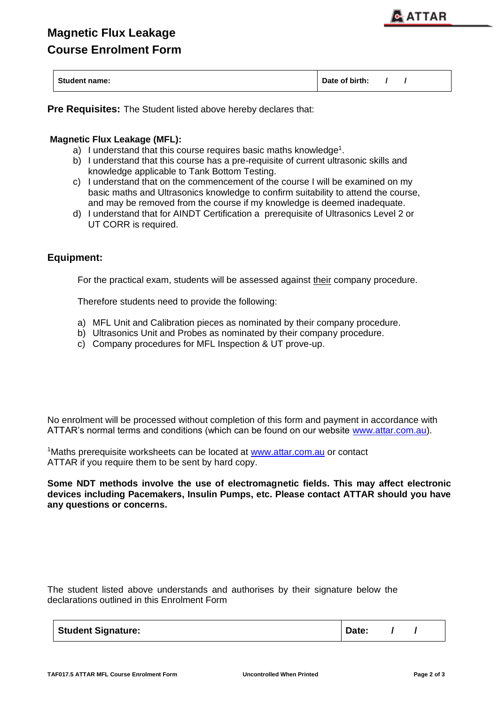| <b>Student name:</b> | Date of birth: |  |  |
|----------------------|----------------|--|--|
|                      |                |  |  |

**Pre Requisites:** The Student listed above hereby declares that:

## **Magnetic Flux Leakage (MFL):**

- a) I understand that this course requires basic maths knowledge<sup>1</sup>.
- b) I understand that this course has a pre-requisite of current ultrasonic skills and knowledge applicable to Tank Bottom Testing.
- c) I understand that on the commencement of the course I will be examined on my basic maths and Ultrasonics knowledge to confirm suitability to attend the course, and may be removed from the course if my knowledge is deemed inadequate.
- d) I understand that for AINDT Certification a prerequisite of Ultrasonics Level 2 or UT CORR is required.

## **Equipment:**

For the practical exam, students will be assessed against their company procedure.

Therefore students need to provide the following:

- a) MFL Unit and Calibration pieces as nominated by their company procedure.
- b) Ultrasonics Unit and Probes as nominated by their company procedure.
- c) Company procedures for MFL Inspection & UT prove-up.

No enrolment will be processed without completion of this form and payment in accordance with ATTAR's normal terms and conditions (which can be found on our website [www.attar.com.au\)](http://www.attar.com.au/).

<sup>1</sup>Maths prerequisite worksheets can be located at [www.attar.com.au](http://www.attar.com.au/) or contact ATTAR if you require them to be sent by hard copy.

**Some NDT methods involve the use of electromagnetic fields. This may affect electronic devices including Pacemakers, Insulin Pumps, etc. Please contact ATTAR should you have any questions or concerns.**

The student listed above understands and authorises by their signature below the declarations outlined in this Enrolment Form

| <b>Student Signature:</b> | Date: |
|---------------------------|-------|
|---------------------------|-------|